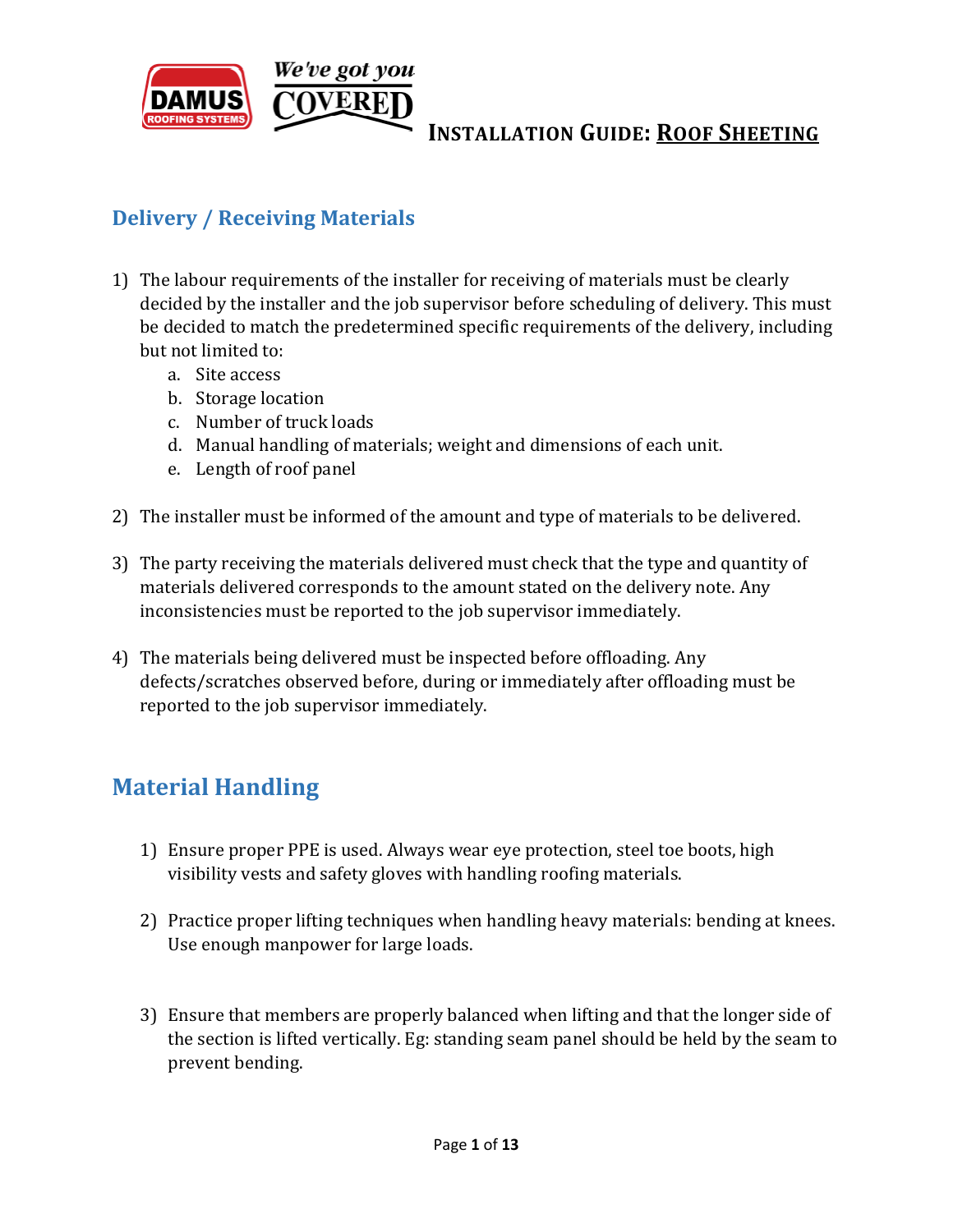

# **Delivery / Receiving Materials**

- 1) The labour requirements of the installer for receiving of materials must be clearly decided by the installer and the job supervisor before scheduling of delivery. This must be decided to match the predetermined specific requirements of the delivery, including but not limited to:
	- a. Site access
	- b. Storage location
	- c. Number of truck loads
	- d. Manual handling of materials; weight and dimensions of each unit.
	- e. Length of roof panel
- 2) The installer must be informed of the amount and type of materials to be delivered.
- 3) The party receiving the materials delivered must check that the type and quantity of materials delivered corresponds to the amount stated on the delivery note. Any inconsistencies must be reported to the job supervisor immediately.
- 4) The materials being delivered must be inspected before offloading. Any defects/scratches observed before, during or immediately after offloading must be reported to the job supervisor immediately.

# **Material Handling**

- 1) Ensure proper PPE is used. Always wear eye protection, steel toe boots, high visibility vests and safety gloves with handling roofing materials.
- 2) Practice proper lifting techniques when handling heavy materials: bending at knees. Use enough manpower for large loads.
- 3) Ensure that members are properly balanced when lifting and that the longer side of the section is lifted vertically. Eg: standing seam panel should be held by the seam to prevent bending.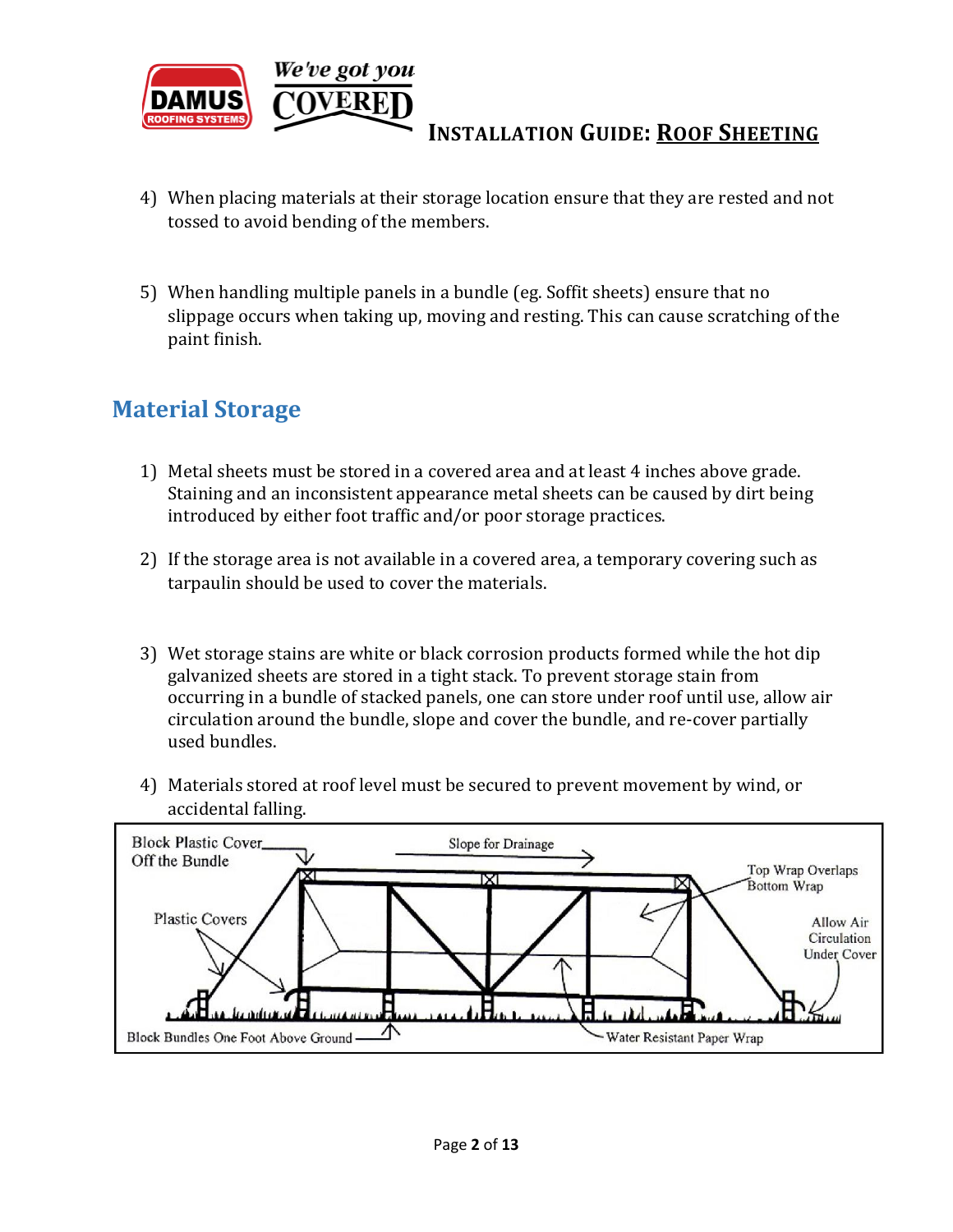

- 4) When placing materials at their storage location ensure that they are rested and not tossed to avoid bending of the members.
- 5) When handling multiple panels in a bundle (eg. Soffit sheets) ensure that no slippage occurs when taking up, moving and resting. This can cause scratching of the paint finish.

## **Material Storage**

- 1) Metal sheets must be stored in a covered area and at least 4 inches above grade. Staining and an inconsistent appearance metal sheets can be caused by dirt being introduced by either foot traffic and/or poor storage practices.
- 2) If the storage area is not available in a covered area, a temporary covering such as tarpaulin should be used to cover the materials.
- 3) Wet storage stains are white or black corrosion products formed while the hot dip galvanized sheets are stored in a tight stack. To prevent storage stain from occurring in a bundle of stacked panels, one can store under roof until use, allow air circulation around the bundle, slope and cover the bundle, and re-cover partially used bundles.
- 4) Materials stored at roof level must be secured to prevent movement by wind, or accidental falling.

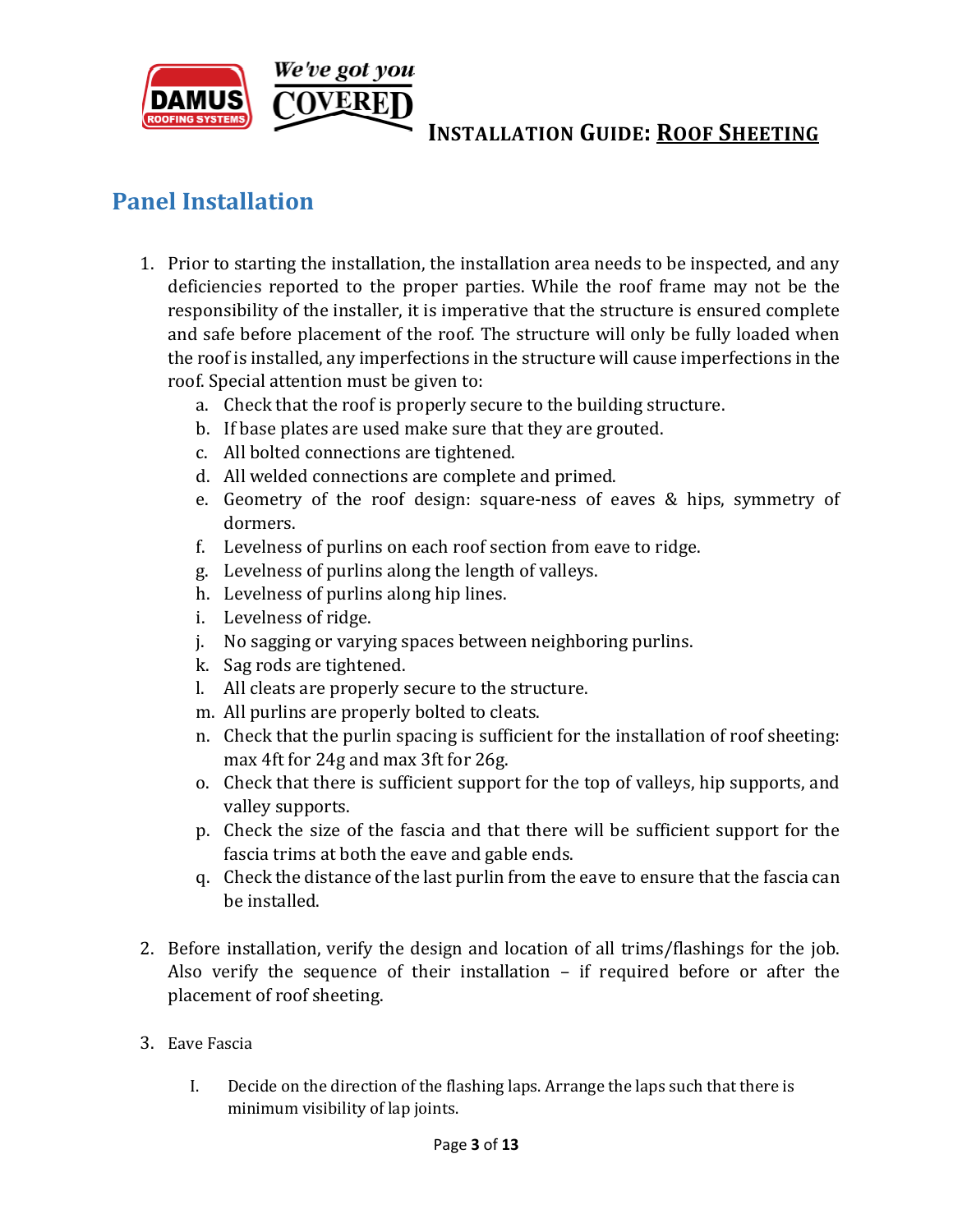

# **Panel Installation**

- 1. Prior to starting the installation, the installation area needs to be inspected, and any deficiencies reported to the proper parties. While the roof frame may not be the responsibility of the installer, it is imperative that the structure is ensured complete and safe before placement of the roof. The structure will only be fully loaded when the roof is installed, any imperfections in the structure will cause imperfections in the roof. Special attention must be given to:
	- a. Check that the roof is properly secure to the building structure.
	- b. If base plates are used make sure that they are grouted.
	- c. All bolted connections are tightened.
	- d. All welded connections are complete and primed.
	- e. Geometry of the roof design: square-ness of eaves & hips, symmetry of dormers.
	- f. Levelness of purlins on each roof section from eave to ridge.
	- g. Levelness of purlins along the length of valleys.
	- h. Levelness of purlins along hip lines.
	- i. Levelness of ridge.
	- j. No sagging or varying spaces between neighboring purlins.
	- k. Sag rods are tightened.
	- l. All cleats are properly secure to the structure.
	- m. All purlins are properly bolted to cleats.
	- n. Check that the purlin spacing is sufficient for the installation of roof sheeting: max 4ft for 24g and max 3ft for 26g.
	- o. Check that there is sufficient support for the top of valleys, hip supports, and valley supports.
	- p. Check the size of the fascia and that there will be sufficient support for the fascia trims at both the eave and gable ends.
	- q. Check the distance of the last purlin from the eave to ensure that the fascia can be installed.
- 2. Before installation, verify the design and location of all trims/flashings for the job. Also verify the sequence of their installation – if required before or after the placement of roof sheeting.
- 3. Eave Fascia
	- I. Decide on the direction of the flashing laps. Arrange the laps such that there is minimum visibility of lap joints.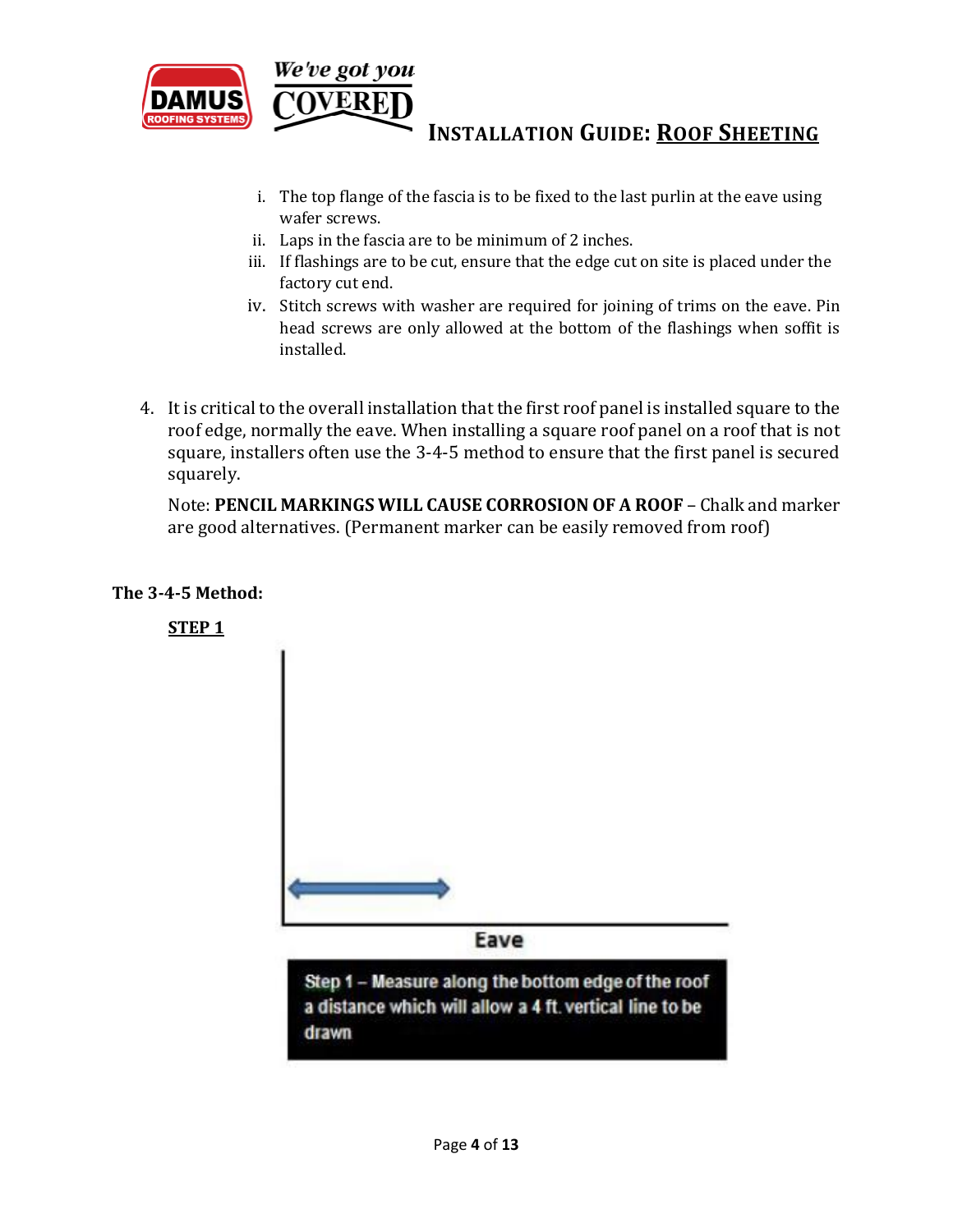

- i. The top flange of the fascia is to be fixed to the last purlin at the eave using wafer screws.
- ii. Laps in the fascia are to be minimum of 2 inches.
- iii. If flashings are to be cut, ensure that the edge cut on site is placed under the factory cut end.
- iv. Stitch screws with washer are required for joining of trims on the eave. Pin head screws are only allowed at the bottom of the flashings when soffit is installed.
- 4. It is critical to the overall installation that the first roof panel is installed square to the roof edge, normally the eave. When installing a square roof panel on a roof that is not square, installers often use the 3-4-5 method to ensure that the first panel is secured squarely.

Note: **PENCIL MARKINGS WILL CAUSE CORROSION OF A ROOF** – Chalk and marker are good alternatives. (Permanent marker can be easily removed from roof)

#### **The 3-4-5 Method:**

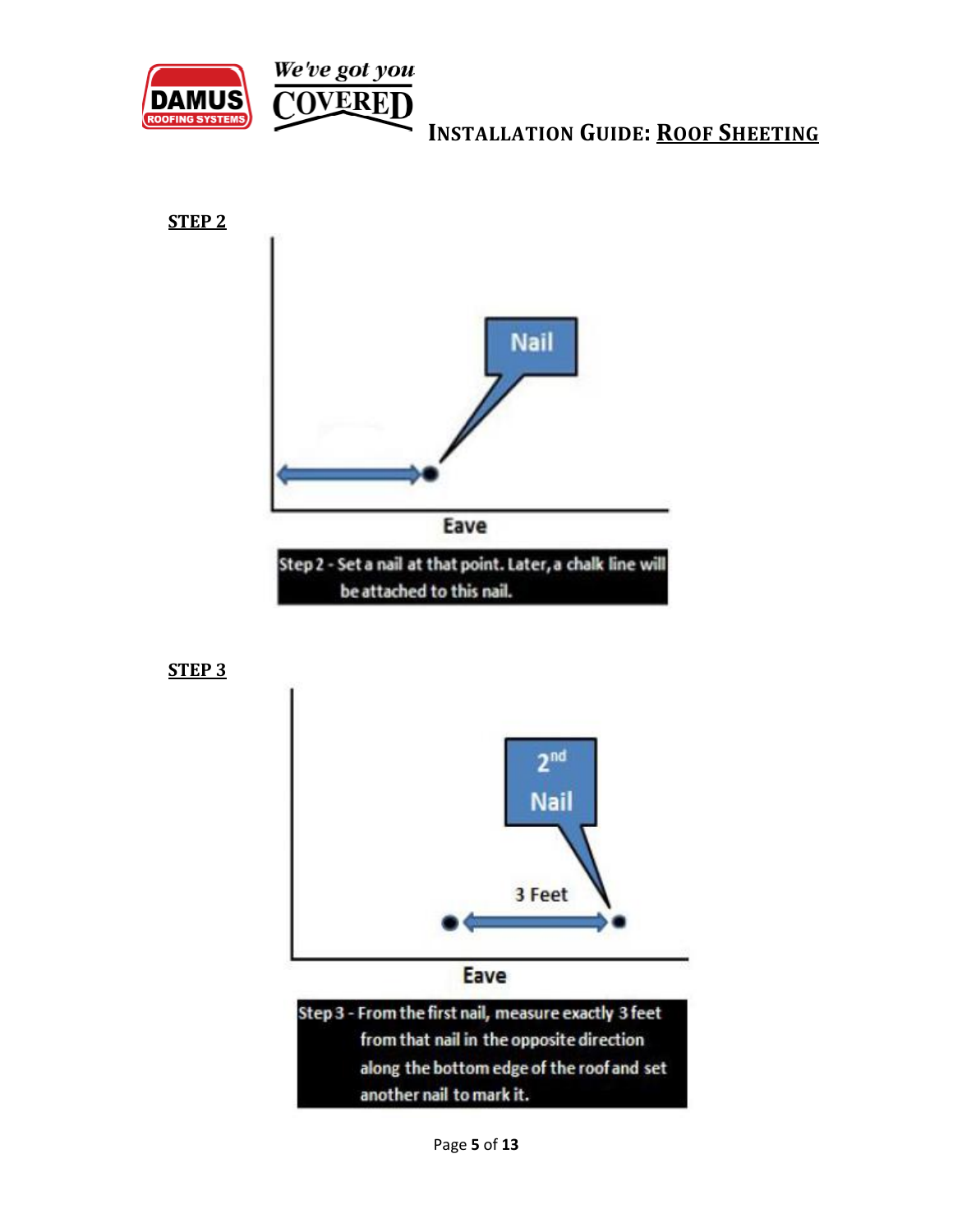







Step 3 - From the first nail, measure exactly 3 feet from that nail in the opposite direction along the bottom edge of the roof and set another nail to mark it.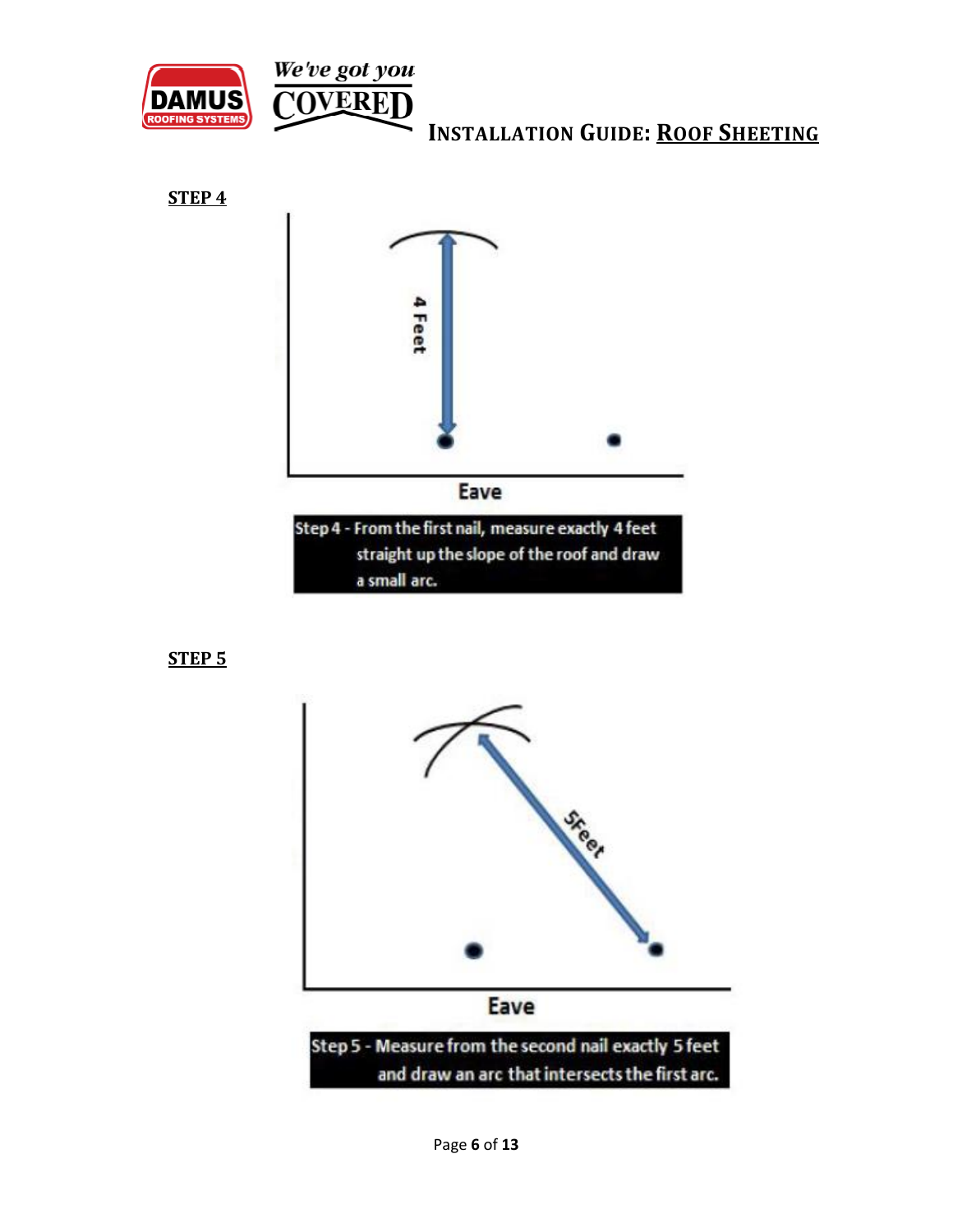

**STEP 4** 



**STEP 5**

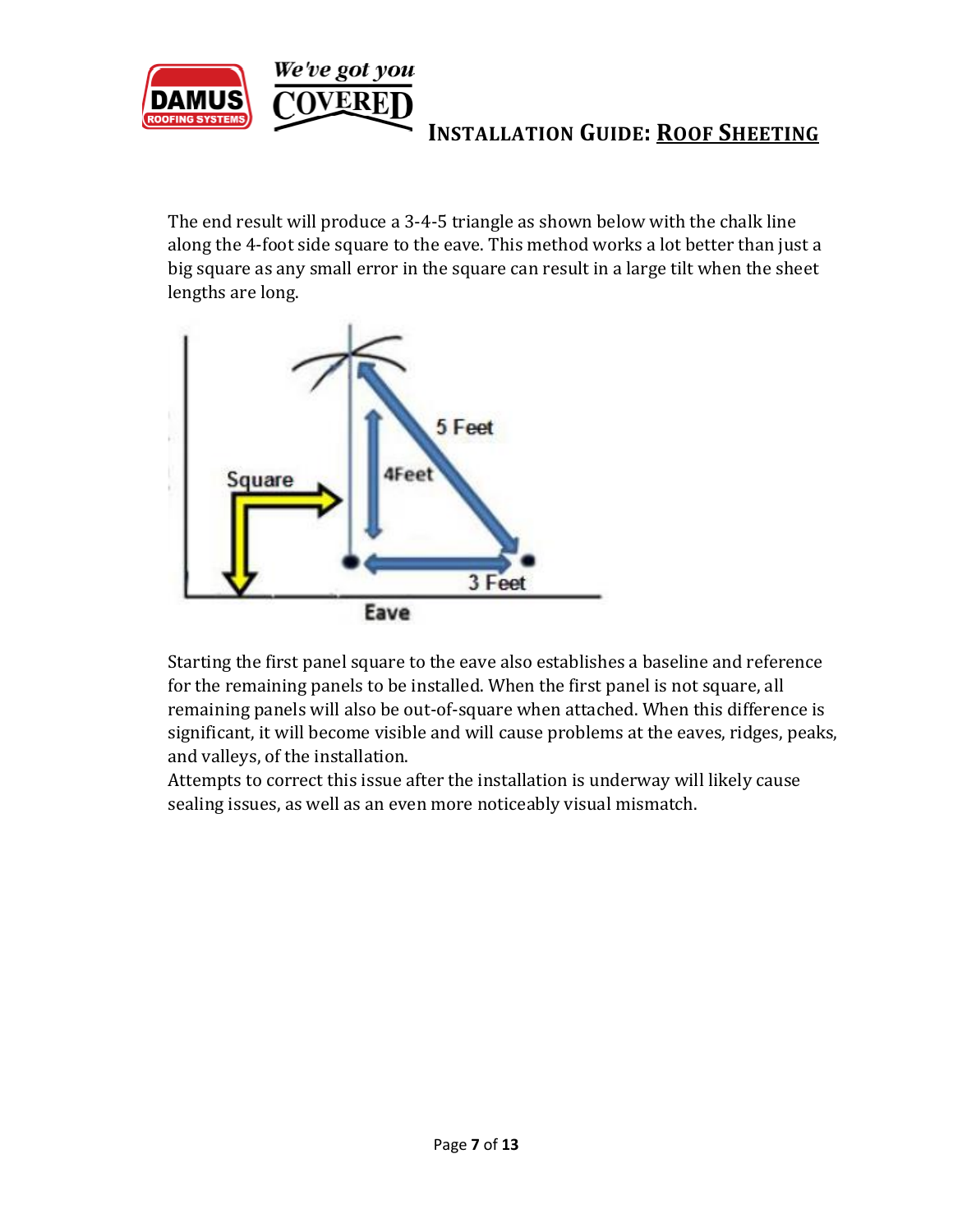

The end result will produce a 3-4-5 triangle as shown below with the chalk line along the 4-foot side square to the eave. This method works a lot better than just a big square as any small error in the square can result in a large tilt when the sheet lengths are long.



Starting the first panel square to the eave also establishes a baseline and reference for the remaining panels to be installed. When the first panel is not square, all remaining panels will also be out-of-square when attached. When this difference is significant, it will become visible and will cause problems at the eaves, ridges, peaks, and valleys, of the installation.

Attempts to correct this issue after the installation is underway will likely cause sealing issues, as well as an even more noticeably visual mismatch.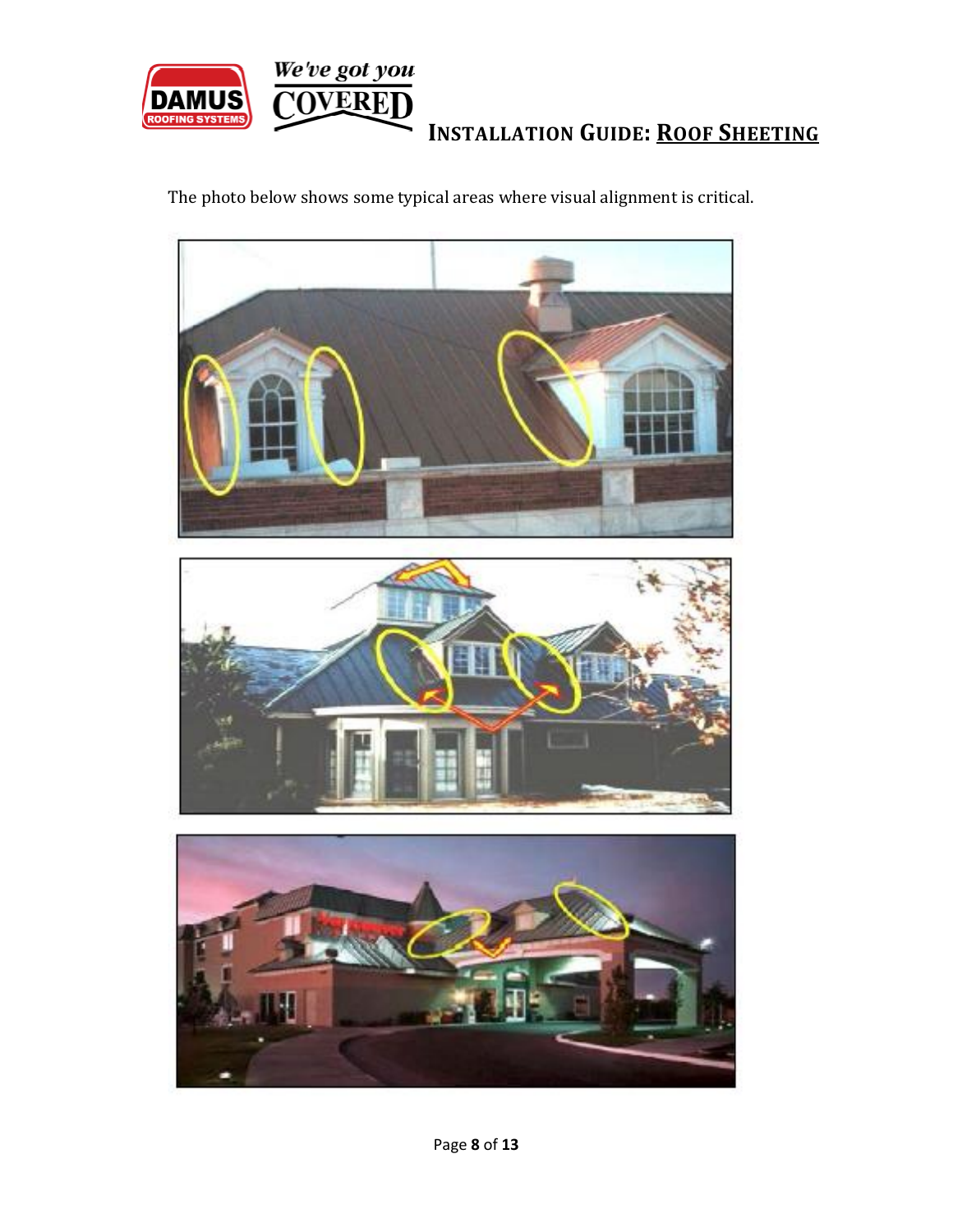

The photo below shows some typical areas where visual alignment is critical.



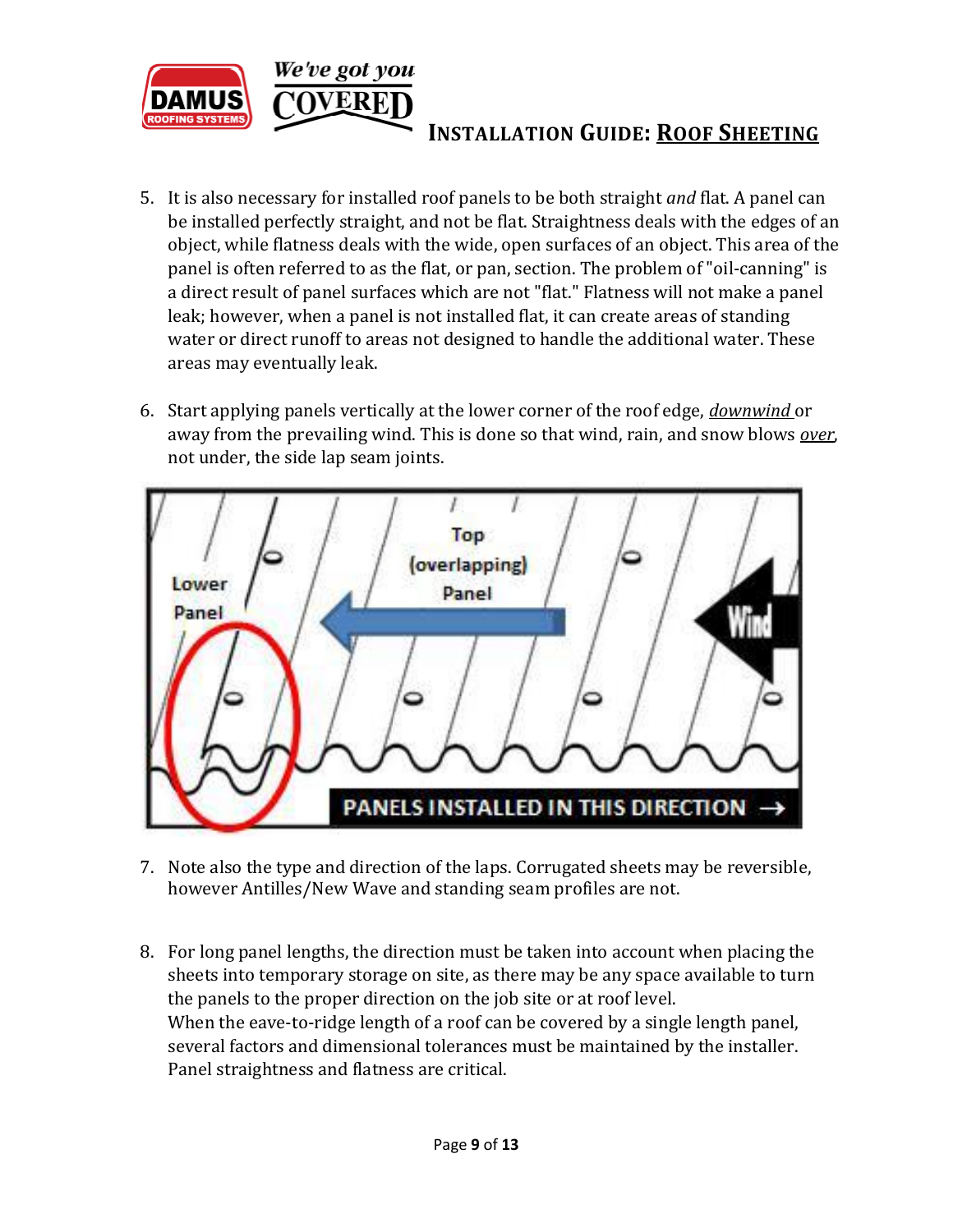

- 5. It is also necessary for installed roof panels to be both straight *and* flat. A panel can be installed perfectly straight, and not be flat. Straightness deals with the edges of an object, while flatness deals with the wide, open surfaces of an object. This area of the panel is often referred to as the flat, or pan, section. The problem of "oil-canning" is a direct result of panel surfaces which are not "flat." Flatness will not make a panel leak; however, when a panel is not installed flat, it can create areas of standing water or direct runoff to areas not designed to handle the additional water. These areas may eventually leak.
- 6. Start applying panels vertically at the lower corner of the roof edge, *downwind* or away from the prevailing wind. This is done so that wind, rain, and snow blows *over*, not under, the side lap seam joints.



- 7. Note also the type and direction of the laps. Corrugated sheets may be reversible, however Antilles/New Wave and standing seam profiles are not.
- 8. For long panel lengths, the direction must be taken into account when placing the sheets into temporary storage on site, as there may be any space available to turn the panels to the proper direction on the job site or at roof level. When the eave-to-ridge length of a roof can be covered by a single length panel, several factors and dimensional tolerances must be maintained by the installer. Panel straightness and flatness are critical.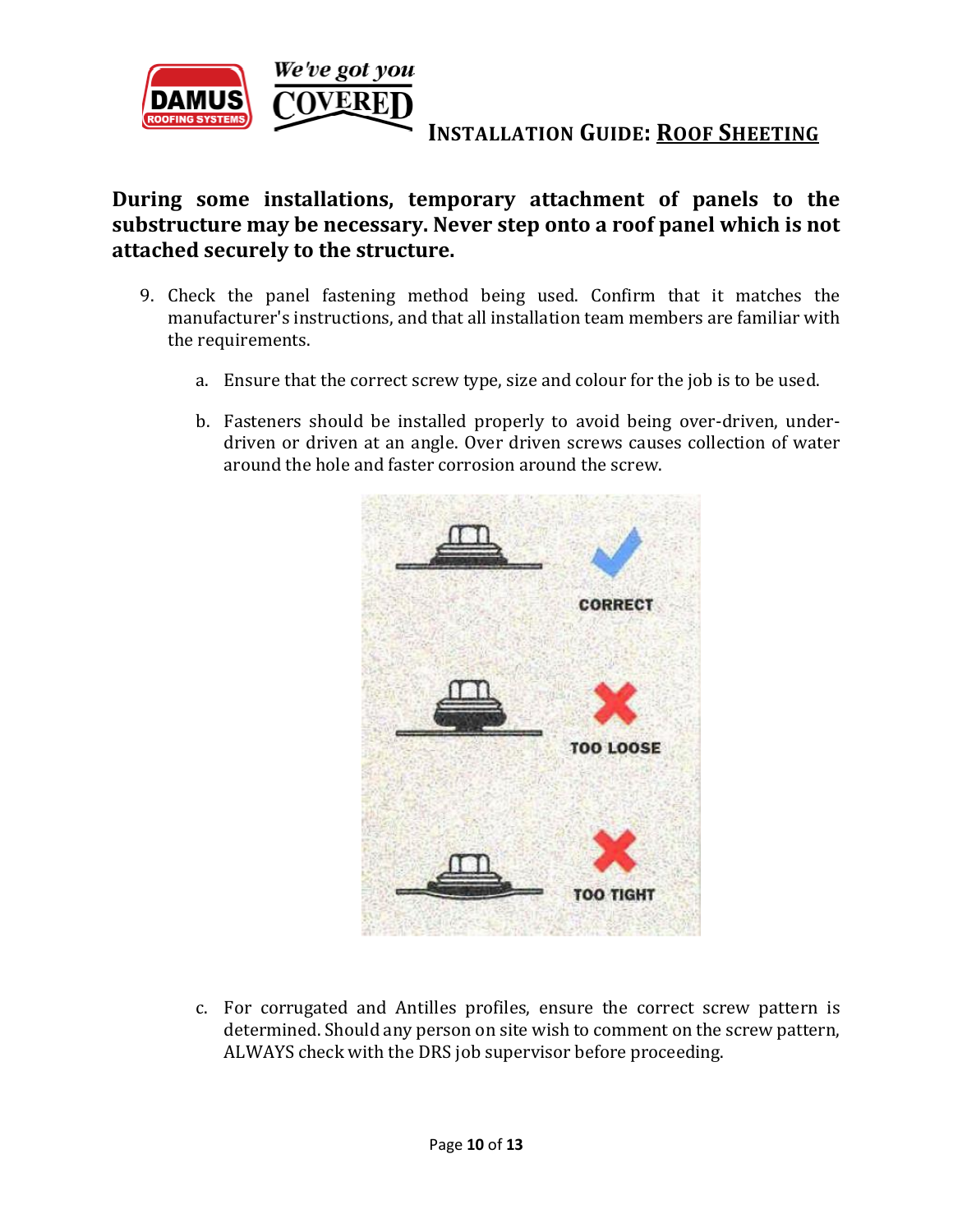

**During some installations, temporary attachment of panels to the substructure may be necessary. Never step onto a roof panel which is not attached securely to the structure.** 

- 9. Check the panel fastening method being used. Confirm that it matches the manufacturer's instructions, and that all installation team members are familiar with the requirements.
	- a. Ensure that the correct screw type, size and colour for the job is to be used.
	- b. Fasteners should be installed properly to avoid being over-driven, underdriven or driven at an angle. Over driven screws causes collection of water around the hole and faster corrosion around the screw.



c. For corrugated and Antilles profiles, ensure the correct screw pattern is determined. Should any person on site wish to comment on the screw pattern, ALWAYS check with the DRS job supervisor before proceeding.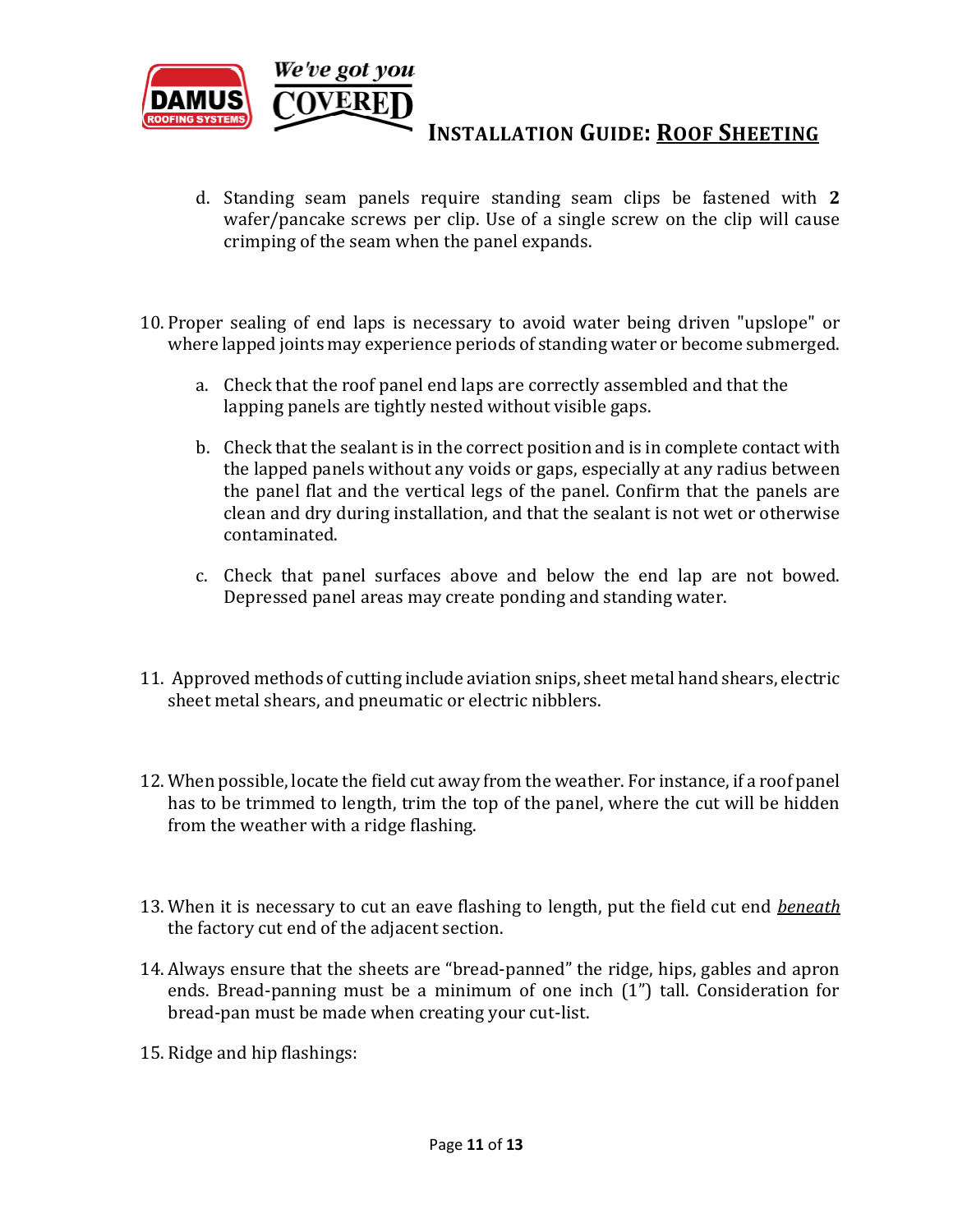

- d. Standing seam panels require standing seam clips be fastened with **2**  wafer/pancake screws per clip. Use of a single screw on the clip will cause crimping of the seam when the panel expands.
- 10. Proper sealing of end laps is necessary to avoid water being driven "upslope" or where lapped joints may experience periods of standing water or become submerged.
	- a. Check that the roof panel end laps are correctly assembled and that the lapping panels are tightly nested without visible gaps.
	- b. Check that the sealant is in the correct position and is in complete contact with the lapped panels without any voids or gaps, especially at any radius between the panel flat and the vertical legs of the panel. Confirm that the panels are clean and dry during installation, and that the sealant is not wet or otherwise contaminated.
	- c. Check that panel surfaces above and below the end lap are not bowed. Depressed panel areas may create ponding and standing water.
- 11. Approved methods of cutting include aviation snips, sheet metal hand shears, electric sheet metal shears, and pneumatic or electric nibblers.
- 12. When possible, locate the field cut away from the weather. For instance, if a roof panel has to be trimmed to length, trim the top of the panel, where the cut will be hidden from the weather with a ridge flashing.
- 13. When it is necessary to cut an eave flashing to length, put the field cut end *beneath*  the factory cut end of the adjacent section.
- 14. Always ensure that the sheets are "bread-panned" the ridge, hips, gables and apron ends. Bread-panning must be a minimum of one inch (1") tall. Consideration for bread-pan must be made when creating your cut-list.
- 15. Ridge and hip flashings: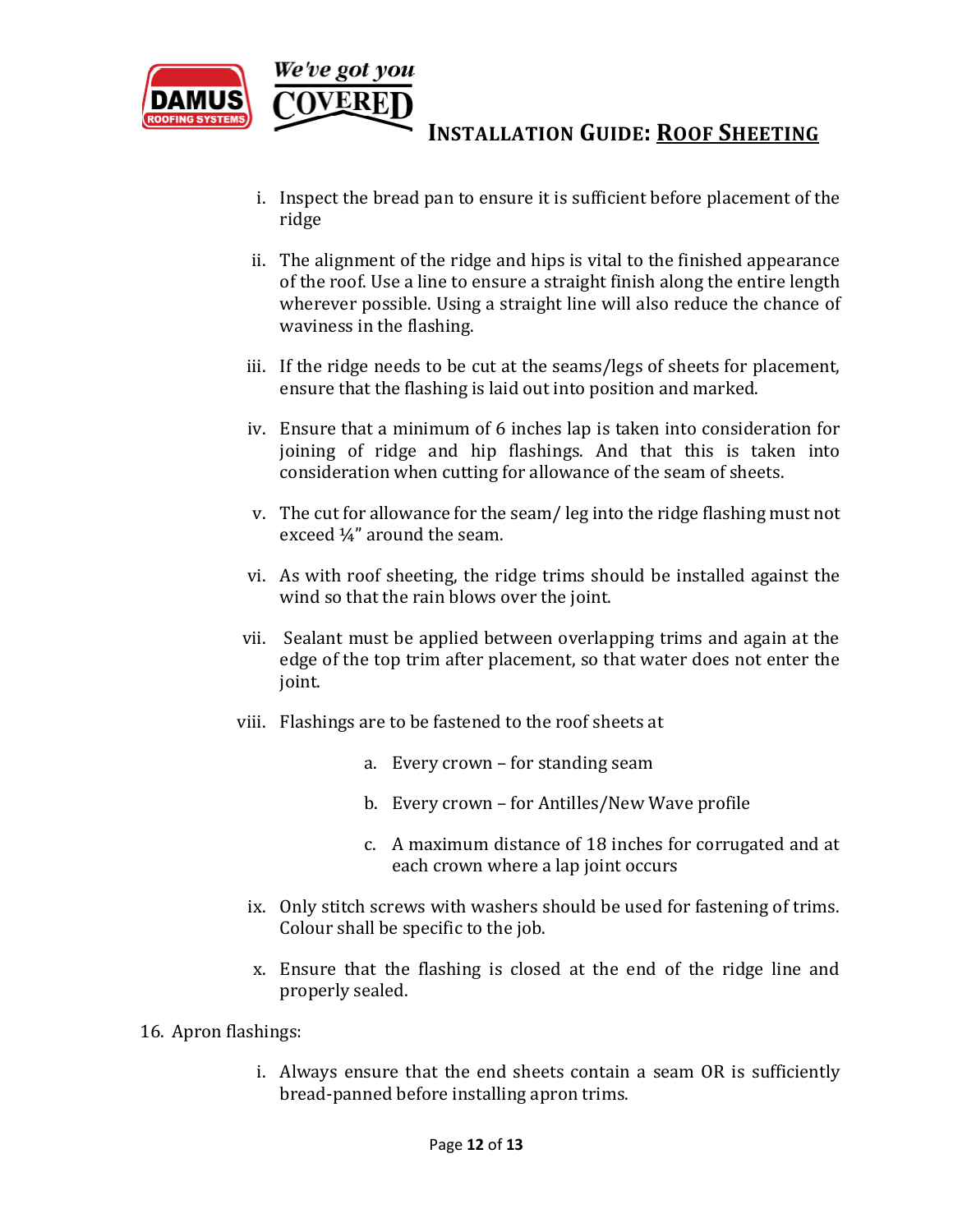

- i. Inspect the bread pan to ensure it is sufficient before placement of the ridge
- ii. The alignment of the ridge and hips is vital to the finished appearance of the roof. Use a line to ensure a straight finish along the entire length wherever possible. Using a straight line will also reduce the chance of waviness in the flashing.
- iii. If the ridge needs to be cut at the seams/legs of sheets for placement, ensure that the flashing is laid out into position and marked.
- iv. Ensure that a minimum of 6 inches lap is taken into consideration for joining of ridge and hip flashings. And that this is taken into consideration when cutting for allowance of the seam of sheets.
- v. The cut for allowance for the seam/ leg into the ridge flashing must not exceed ¼" around the seam.
- vi. As with roof sheeting, the ridge trims should be installed against the wind so that the rain blows over the joint.
- vii. Sealant must be applied between overlapping trims and again at the edge of the top trim after placement, so that water does not enter the joint.
- viii. Flashings are to be fastened to the roof sheets at
	- a. Every crown for standing seam
	- b. Every crown for Antilles/New Wave profile
	- c. A maximum distance of 18 inches for corrugated and at each crown where a lap joint occurs
	- ix. Only stitch screws with washers should be used for fastening of trims. Colour shall be specific to the job.
	- x. Ensure that the flashing is closed at the end of the ridge line and properly sealed.
- 16. Apron flashings:
	- i. Always ensure that the end sheets contain a seam OR is sufficiently bread-panned before installing apron trims.